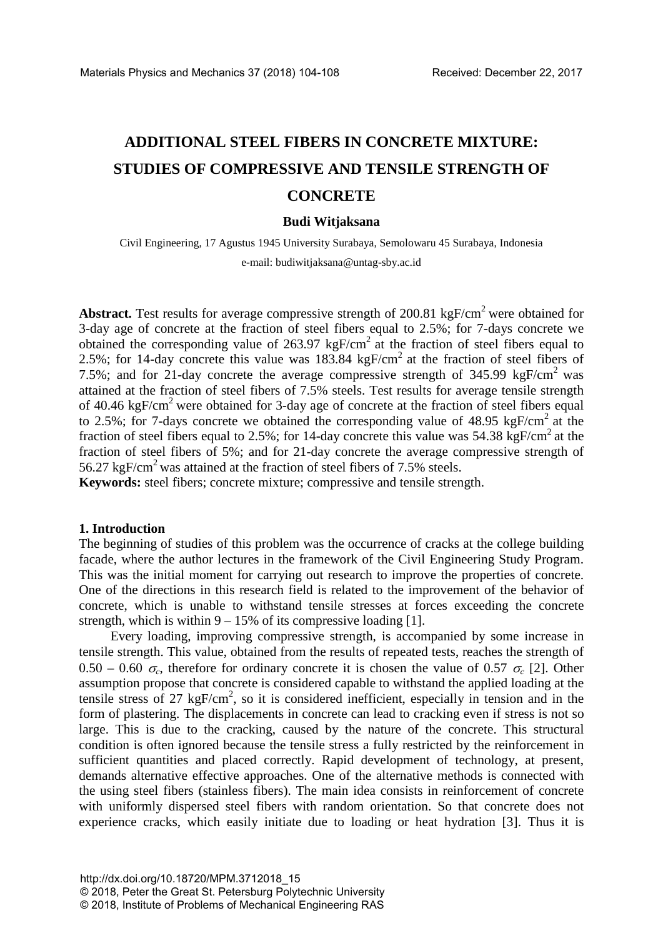# **ADDITIONAL STEEL FIBERS IN CONCRETE MIXTURE: STUDIES OF COMPRESSIVE AND TENSILE STRENGTH OF CONCRETE**

#### **Budi Witjaksana**

Civil Engineering, 17 Agustus 1945 University Surabaya, Semolowaru 45 Surabaya, Indonesia e-mail: budiwitjaksana@untag-sby.ac.id

Abstract. Test results for average compressive strength of 200.81 kgF/cm<sup>2</sup> were obtained for 3-day age of concrete at the fraction of steel fibers equal to 2.5%; for 7-days concrete we obtained the corresponding value of  $263.97 \text{ kgF/cm}^2$  at the fraction of steel fibers equal to 2.5%; for 14-day concrete this value was  $183.84 \text{ kgF/cm}^2$  at the fraction of steel fibers of 7.5%; and for 21-day concrete the average compressive strength of 345.99 kgF/cm<sup>2</sup> was attained at the fraction of steel fibers of 7.5% steels. Test results for average tensile strength of 40.46 kgF/cm<sup>2</sup> were obtained for 3-day age of concrete at the fraction of steel fibers equal to 2.5%; for 7-days concrete we obtained the corresponding value of 48.95 kgF/cm<sup>2</sup> at the fraction of steel fibers equal to 2.5%; for 14-day concrete this value was  $54.38 \text{ kgF/cm}^2$  at the fraction of steel fibers of 5%; and for 21-day concrete the average compressive strength of 56.27 kgF/cm<sup>2</sup> was attained at the fraction of steel fibers of 7.5% steels.

**Keywords:** steel fibers; concrete mixture; compressive and tensile strength.

#### **1. Introduction**

The beginning of studies of this problem was the occurrence of cracks at the college building facade, where the author lectures in the framework of the Civil Engineering Study Program. This was the initial moment for carrying out research to improve the properties of concrete. One of the directions in this research field is related to the improvement of the behavior of concrete, which is unable to withstand tensile stresses at forces exceeding the concrete strength, which is within  $9 - 15\%$  of its compressive loading [1].

Every loading, improving compressive strength, is accompanied by some increase in tensile strength. This value, obtained from the results of repeated tests, reaches the strength of 0.50 – 0.60  $\sigma_c$ , therefore for ordinary concrete it is chosen the value of 0.57  $\sigma_c$  [2]. Other assumption propose that concrete is considered capable to withstand the applied loading at the tensile stress of 27  $kgF/cm^2$ , so it is considered inefficient, especially in tension and in the form of plastering. The displacements in concrete can lead to cracking even if stress is not so large. This is due to the cracking, caused by the nature of the concrete. This structural condition is often ignored because the tensile stress a fully restricted by the reinforcement in sufficient quantities and placed correctly. Rapid development of technology, at present, demands alternative effective approaches. One of the alternative methods is connected with the using steel fibers (stainless fibers). The main idea consists in reinforcement of concrete with uniformly dispersed steel fibers with random orientation. So that concrete does not experience cracks, which easily initiate due to loading or heat hydration [3]. Thus it is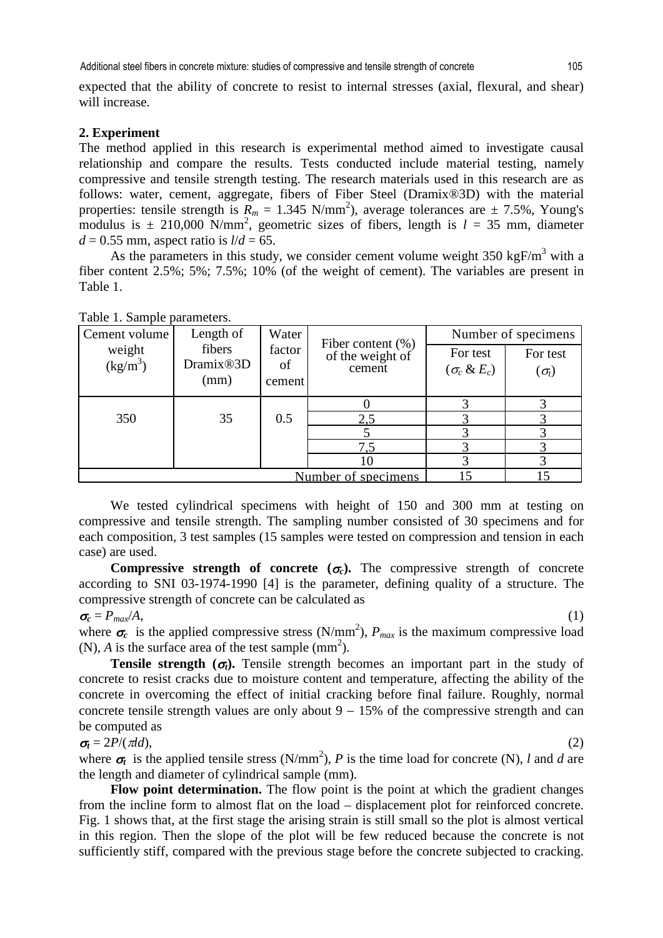expected that the ability of concrete to resist to internal stresses (axial, flexural, and shear) will increase.

## **2. Experiment**

The method applied in this research is experimental method aimed to investigate causal relationship and compare the results. Tests conducted include material testing, namely compressive and tensile strength testing. The research materials used in this research are as follows: water, cement, aggregate, fibers of Fiber Steel (Dramix®3D) with the material properties: tensile strength is  $R_m = 1.345 \text{ N/mm}^2$ ), average tolerances are  $\pm 7.5\%$ , Young's modulus is  $\pm$  210,000 N/mm<sup>2</sup>, geometric sizes of fibers, length is  $l = 35$  mm, diameter  $d = 0.55$  mm, aspect ratio is  $l/d = 65$ .

As the parameters in this study, we consider cement volume weight  $350 \text{ kgF/m}^3$  with a fiber content 2.5%; 5%; 7.5%; 10% (of the weight of cement). The variables are present in Table 1.

| Cement volume        | Length of                        | Water        | Fiber content $(\% )$<br>of the weight of<br>cement | Number of specimens             |                  |
|----------------------|----------------------------------|--------------|-----------------------------------------------------|---------------------------------|------------------|
| weight<br>$(kg/m^3)$ | fibers<br>Dramix <sup>®</sup> 3D | factor<br>of |                                                     | For test<br>$(\sigma_c \& E_c)$ | For test         |
|                      | (mm)                             | cement       |                                                     |                                 | $(\sigma_{\!t})$ |
|                      |                                  |              |                                                     |                                 |                  |
| 350                  | 35                               | 0.5          | 2,5                                                 |                                 |                  |
|                      |                                  |              |                                                     |                                 |                  |
|                      |                                  |              | 7.5                                                 |                                 |                  |
|                      |                                  |              | 10                                                  |                                 |                  |
|                      |                                  |              |                                                     |                                 |                  |

Table 1. Sample parameters.

We tested cylindrical specimens with height of 150 and 300 mm at testing on compressive and tensile strength. The sampling number consisted of 30 specimens and for each composition, 3 test samples (15 samples were tested on compression and tension in each case) are used.

**Compressive strength of concrete**  $(\sigma_c)$ **.** The compressive strength of concrete according to SNI 03-1974-1990 [4] is the parameter, defining quality of a structure. The compressive strength of concrete can be calculated as

 $\sigma_c = P_{max}/A$ , (1)

where  $\sigma_c$  is the applied compressive stress (N/mm<sup>2</sup>),  $P_{max}$  is the maximum compressive load  $(N)$ , *A* is the surface area of the test sample  $(mm^2)$ .

**Tensile strength (** $\sigma$ **<sub>***t***</sub>).** Tensile strength becomes an important part in the study of concrete to resist cracks due to moisture content and temperature, affecting the ability of the concrete in overcoming the effect of initial cracking before final failure. Roughly, normal concrete tensile strength values are only about  $9 - 15\%$  of the compressive strength and can be computed as

 $\sigma_t = 2P/(\pi d d)$ , (2)

where  $\sigma_t$  is the applied tensile stress (N/mm<sup>2</sup>), *P* is the time load for concrete (N), *l* and *d* are the length and diameter of cylindrical sample (mm).

**Flow point determination.** The flow point is the point at which the gradient changes from the incline form to almost flat on the load – displacement plot for reinforced concrete. Fig. 1 shows that, at the first stage the arising strain is still small so the plot is almost vertical in this region. Then the slope of the plot will be few reduced because the concrete is not sufficiently stiff, compared with the previous stage before the concrete subjected to cracking.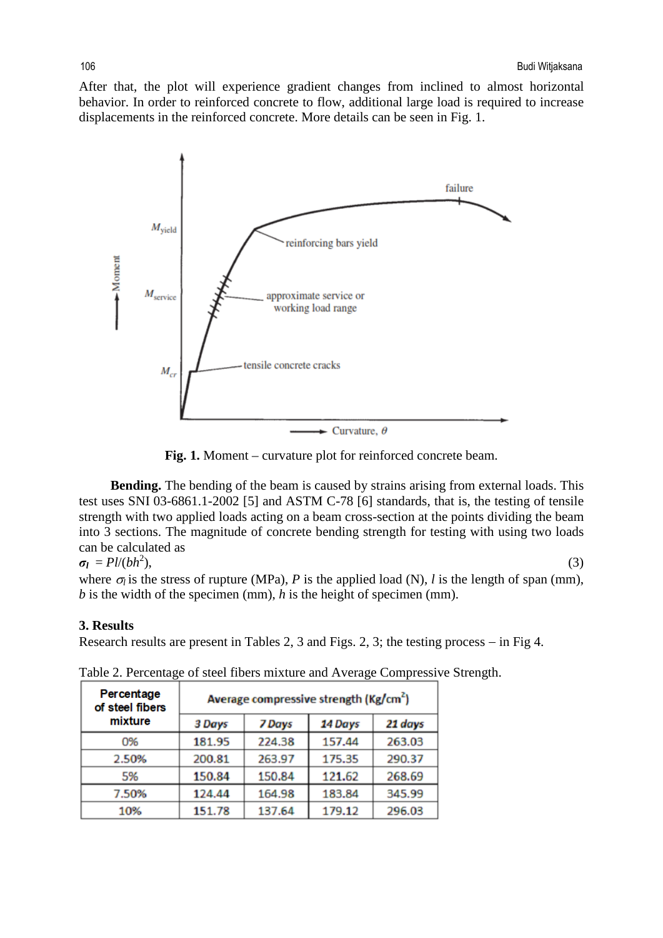After that, the plot will experience gradient changes from inclined to almost horizontal behavior. In order to reinforced concrete to flow, additional large load is required to increase displacements in the reinforced concrete. More details can be seen in Fig. 1.



**Fig. 1.** Moment – curvature plot for reinforced concrete beam.

**Bending.** The bending of the beam is caused by strains arising from external loads. This test uses SNI 03-6861.1-2002 [5] and ASTM C-78 [6] standards, that is, the testing of tensile strength with two applied loads acting on a beam cross-section at the points dividing the beam into 3 sections. The magnitude of concrete bending strength for testing with using two loads can be calculated as

$$
\sigma_l = Pl/(bh^2),
$$

 $),$  (3)

where  $\sigma_l$  is the stress of rupture (MPa), *P* is the applied load (N), *l* is the length of span (mm), *b* is the width of the specimen (mm), *h* is the height of specimen (mm).

## **3. Results**

Research results are present in Tables 2, 3 and Figs. 2, 3; the testing process − in Fig 4.

|  | Percentage<br>of steel fibers | Average compressive strength ( $\text{Kg/cm}^2$ ) |        |         |         |  |
|--|-------------------------------|---------------------------------------------------|--------|---------|---------|--|
|  | mixture                       | 3 Days                                            | 7 Days | 14 Days | 21 days |  |
|  | 0%                            | 181.95                                            | 224.38 | 157.44  | 263.03  |  |
|  | 2.50%                         | 200.81                                            | 263.97 | 175.35  | 290.37  |  |
|  | 5%                            | 150.84                                            | 150.84 | 121.62  | 268.69  |  |
|  | 7.50%                         | 124.44                                            | 164.98 | 183.84  | 345.99  |  |
|  | 10%                           | 151.78                                            | 137.64 | 179.12  | 296.03  |  |

Table 2. Percentage of steel fibers mixture and Average Compressive Strength.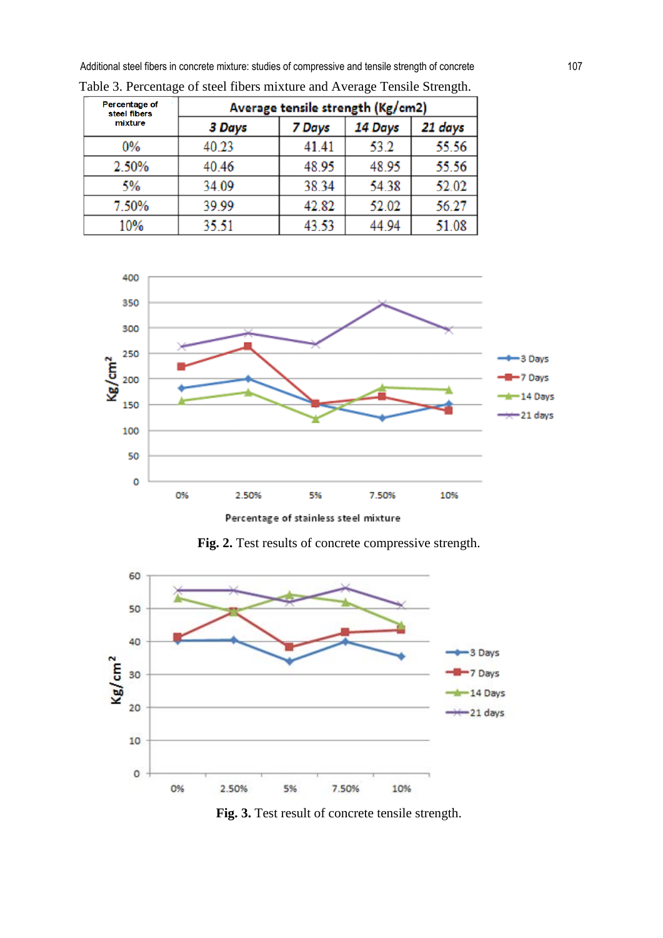Additional steel fibers in concrete mixture: studies of compressive and tensile strength of concrete 107

| Percentage of<br>steel fibers | Average tensile strength (Kg/cm2) |        |         |         |  |
|-------------------------------|-----------------------------------|--------|---------|---------|--|
| mixture                       | 3 Days                            | 7 Days | 14 Days | 21 days |  |
| 0%                            | 40.23                             | 41.41  | 53.2    | 55.56   |  |
| 2.50%                         | 40.46                             | 48.95  | 48.95   | 55.56   |  |
| 5%                            | 34.09                             | 38.34  | 54.38   | 52.02   |  |
| 7.50%                         | 39.99                             | 42.82  | 52.02   | 56.27   |  |
| 10%                           | 35.51                             | 43.53  | 44.94   | 51.08   |  |

Table 3. Percentage of steel fibers mixture and Average Tensile Strength.



Fig. 2. Test results of concrete compressive strength.



Fig. 3. Test result of concrete tensile strength.